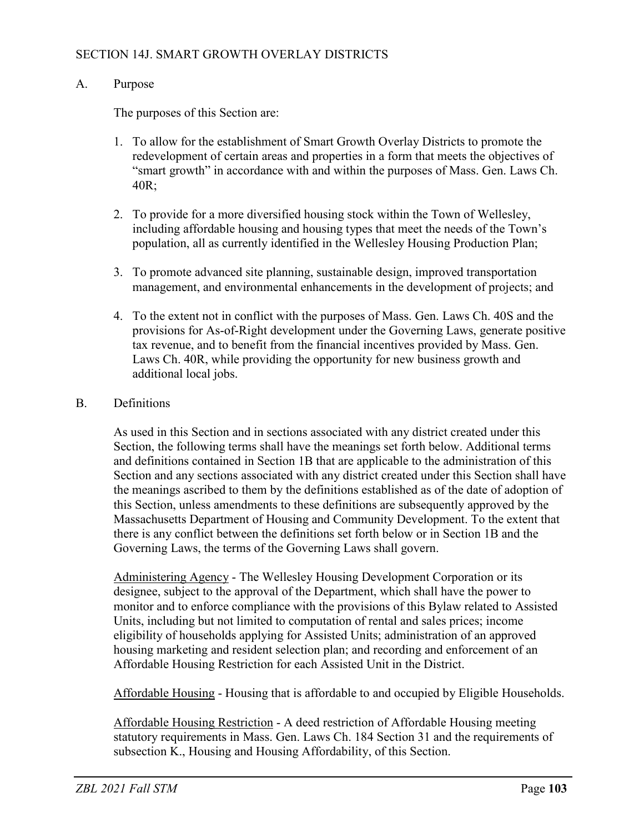### SECTION 14J. SMART GROWTH OVERLAY DISTRICTS

#### A. Purpose

The purposes of this Section are:

- 1. To allow for the establishment of Smart Growth Overlay Districts to promote the redevelopment of certain areas and properties in a form that meets the objectives of "smart growth" in accordance with and within the purposes of Mass. Gen. Laws Ch. 40R;
- 2. To provide for a more diversified housing stock within the Town of Wellesley, including affordable housing and housing types that meet the needs of the Town's population, all as currently identified in the Wellesley Housing Production Plan;
- 3. To promote advanced site planning, sustainable design, improved transportation management, and environmental enhancements in the development of projects; and
- 4. To the extent not in conflict with the purposes of Mass. Gen. Laws Ch. 40S and the provisions for As-of-Right development under the Governing Laws, generate positive tax revenue, and to benefit from the financial incentives provided by Mass. Gen. Laws Ch. 40R, while providing the opportunity for new business growth and additional local jobs.

#### B. Definitions

As used in this Section and in sections associated with any district created under this Section, the following terms shall have the meanings set forth below. Additional terms and definitions contained in Section 1B that are applicable to the administration of this Section and any sections associated with any district created under this Section shall have the meanings ascribed to them by the definitions established as of the date of adoption of this Section, unless amendments to these definitions are subsequently approved by the Massachusetts Department of Housing and Community Development. To the extent that there is any conflict between the definitions set forth below or in Section 1B and the Governing Laws, the terms of the Governing Laws shall govern.

Administering Agency - The Wellesley Housing Development Corporation or its designee, subject to the approval of the Department, which shall have the power to monitor and to enforce compliance with the provisions of this Bylaw related to Assisted Units, including but not limited to computation of rental and sales prices; income eligibility of households applying for Assisted Units; administration of an approved housing marketing and resident selection plan; and recording and enforcement of an Affordable Housing Restriction for each Assisted Unit in the District.

Affordable Housing - Housing that is affordable to and occupied by Eligible Households.

Affordable Housing Restriction - A deed restriction of Affordable Housing meeting statutory requirements in Mass. Gen. Laws Ch. 184 Section 31 and the requirements of subsection K., Housing and Housing Affordability, of this Section.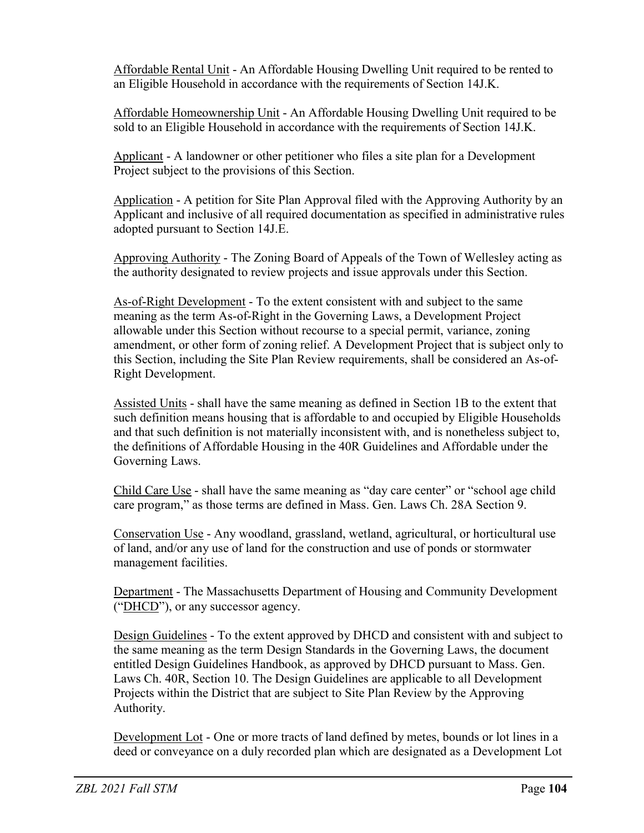Affordable Rental Unit - An Affordable Housing Dwelling Unit required to be rented to an Eligible Household in accordance with the requirements of Section 14J.K.

Affordable Homeownership Unit - An Affordable Housing Dwelling Unit required to be sold to an Eligible Household in accordance with the requirements of Section 14J.K.

Applicant - A landowner or other petitioner who files a site plan for a Development Project subject to the provisions of this Section.

Application - A petition for Site Plan Approval filed with the Approving Authority by an Applicant and inclusive of all required documentation as specified in administrative rules adopted pursuant to Section 14J.E.

Approving Authority - The Zoning Board of Appeals of the Town of Wellesley acting as the authority designated to review projects and issue approvals under this Section.

As-of-Right Development - To the extent consistent with and subject to the same meaning as the term As-of-Right in the Governing Laws, a Development Project allowable under this Section without recourse to a special permit, variance, zoning amendment, or other form of zoning relief. A Development Project that is subject only to this Section, including the Site Plan Review requirements, shall be considered an As-of-Right Development.

Assisted Units - shall have the same meaning as defined in Section 1B to the extent that such definition means housing that is affordable to and occupied by Eligible Households and that such definition is not materially inconsistent with, and is nonetheless subject to, the definitions of Affordable Housing in the 40R Guidelines and Affordable under the Governing Laws.

Child Care Use - shall have the same meaning as "day care center" or "school age child care program," as those terms are defined in Mass. Gen. Laws Ch. 28A Section 9.

Conservation Use - Any woodland, grassland, wetland, agricultural, or horticultural use of land, and/or any use of land for the construction and use of ponds or stormwater management facilities.

Department - The Massachusetts Department of Housing and Community Development ("DHCD"), or any successor agency.

Design Guidelines - To the extent approved by DHCD and consistent with and subject to the same meaning as the term Design Standards in the Governing Laws, the document entitled Design Guidelines Handbook, as approved by DHCD pursuant to Mass. Gen. Laws Ch. 40R, Section 10. The Design Guidelines are applicable to all Development Projects within the District that are subject to Site Plan Review by the Approving Authority.

Development Lot - One or more tracts of land defined by metes, bounds or lot lines in a deed or conveyance on a duly recorded plan which are designated as a Development Lot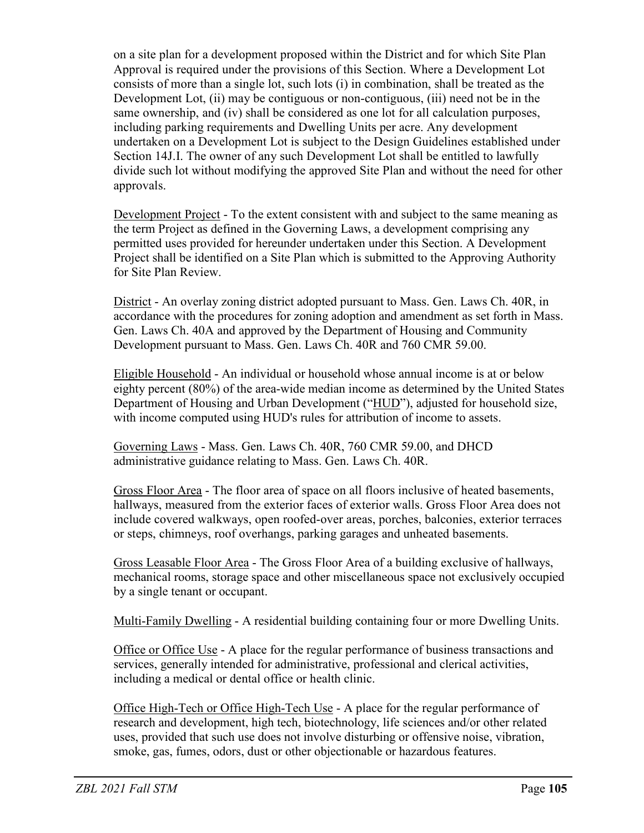on a site plan for a development proposed within the District and for which Site Plan Approval is required under the provisions of this Section. Where a Development Lot consists of more than a single lot, such lots (i) in combination, shall be treated as the Development Lot, (ii) may be contiguous or non-contiguous, (iii) need not be in the same ownership, and (iv) shall be considered as one lot for all calculation purposes, including parking requirements and Dwelling Units per acre. Any development undertaken on a Development Lot is subject to the Design Guidelines established under Section 14J.I. The owner of any such Development Lot shall be entitled to lawfully divide such lot without modifying the approved Site Plan and without the need for other approvals.

Development Project - To the extent consistent with and subject to the same meaning as the term Project as defined in the Governing Laws, a development comprising any permitted uses provided for hereunder undertaken under this Section. A Development Project shall be identified on a Site Plan which is submitted to the Approving Authority for Site Plan Review.

District - An overlay zoning district adopted pursuant to Mass. Gen. Laws Ch. 40R, in accordance with the procedures for zoning adoption and amendment as set forth in Mass. Gen. Laws Ch. 40A and approved by the Department of Housing and Community Development pursuant to Mass. Gen. Laws Ch. 40R and 760 CMR 59.00.

Eligible Household - An individual or household whose annual income is at or below eighty percent (80%) of the area-wide median income as determined by the United States Department of Housing and Urban Development ("HUD"), adjusted for household size, with income computed using HUD's rules for attribution of income to assets.

Governing Laws - Mass. Gen. Laws Ch. 40R, 760 CMR 59.00, and DHCD administrative guidance relating to Mass. Gen. Laws Ch. 40R.

Gross Floor Area - The floor area of space on all floors inclusive of heated basements, hallways, measured from the exterior faces of exterior walls. Gross Floor Area does not include covered walkways, open roofed-over areas, porches, balconies, exterior terraces or steps, chimneys, roof overhangs, parking garages and unheated basements.

Gross Leasable Floor Area - The Gross Floor Area of a building exclusive of hallways, mechanical rooms, storage space and other miscellaneous space not exclusively occupied by a single tenant or occupant.

Multi-Family Dwelling - A residential building containing four or more Dwelling Units.

Office or Office Use - A place for the regular performance of business transactions and services, generally intended for administrative, professional and clerical activities, including a medical or dental office or health clinic.

Office High-Tech or Office High-Tech Use - A place for the regular performance of research and development, high tech, biotechnology, life sciences and/or other related uses, provided that such use does not involve disturbing or offensive noise, vibration, smoke, gas, fumes, odors, dust or other objectionable or hazardous features.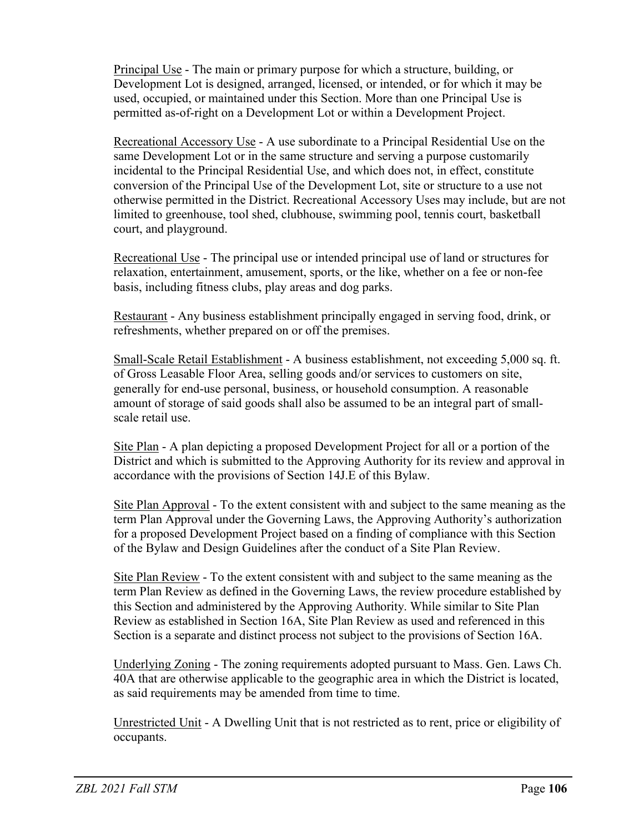Principal Use - The main or primary purpose for which a structure, building, or Development Lot is designed, arranged, licensed, or intended, or for which it may be used, occupied, or maintained under this Section. More than one Principal Use is permitted as-of-right on a Development Lot or within a Development Project.

Recreational Accessory Use - A use subordinate to a Principal Residential Use on the same Development Lot or in the same structure and serving a purpose customarily incidental to the Principal Residential Use, and which does not, in effect, constitute conversion of the Principal Use of the Development Lot, site or structure to a use not otherwise permitted in the District. Recreational Accessory Uses may include, but are not limited to greenhouse, tool shed, clubhouse, swimming pool, tennis court, basketball court, and playground.

Recreational Use - The principal use or intended principal use of land or structures for relaxation, entertainment, amusement, sports, or the like, whether on a fee or non-fee basis, including fitness clubs, play areas and dog parks.

Restaurant - Any business establishment principally engaged in serving food, drink, or refreshments, whether prepared on or off the premises.

Small-Scale Retail Establishment - A business establishment, not exceeding 5,000 sq. ft. of Gross Leasable Floor Area, selling goods and/or services to customers on site, generally for end-use personal, business, or household consumption. A reasonable amount of storage of said goods shall also be assumed to be an integral part of smallscale retail use.

Site Plan - A plan depicting a proposed Development Project for all or a portion of the District and which is submitted to the Approving Authority for its review and approval in accordance with the provisions of Section 14J.E of this Bylaw.

Site Plan Approval - To the extent consistent with and subject to the same meaning as the term Plan Approval under the Governing Laws, the Approving Authority's authorization for a proposed Development Project based on a finding of compliance with this Section of the Bylaw and Design Guidelines after the conduct of a Site Plan Review.

Site Plan Review - To the extent consistent with and subject to the same meaning as the term Plan Review as defined in the Governing Laws, the review procedure established by this Section and administered by the Approving Authority. While similar to Site Plan Review as established in Section 16A, Site Plan Review as used and referenced in this Section is a separate and distinct process not subject to the provisions of Section 16A.

Underlying Zoning - The zoning requirements adopted pursuant to Mass. Gen. Laws Ch. 40A that are otherwise applicable to the geographic area in which the District is located, as said requirements may be amended from time to time.

Unrestricted Unit - A Dwelling Unit that is not restricted as to rent, price or eligibility of occupants.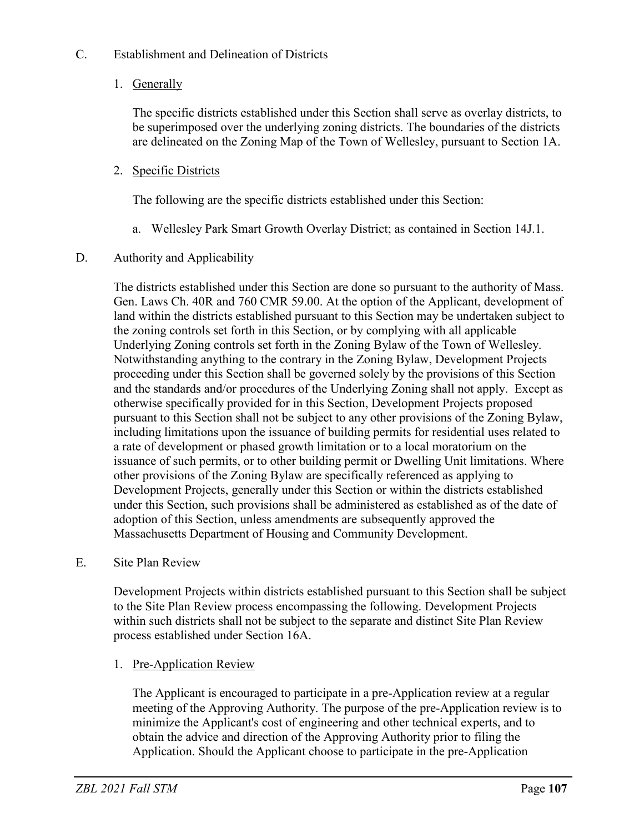# C. Establishment and Delineation of Districts

1. Generally

The specific districts established under this Section shall serve as overlay districts, to be superimposed over the underlying zoning districts. The boundaries of the districts are delineated on the Zoning Map of the Town of Wellesley, pursuant to Section 1A.

2. Specific Districts

The following are the specific districts established under this Section:

a. Wellesley Park Smart Growth Overlay District; as contained in Section 14J.1.

# D. Authority and Applicability

The districts established under this Section are done so pursuant to the authority of Mass. Gen. Laws Ch. 40R and 760 CMR 59.00. At the option of the Applicant, development of land within the districts established pursuant to this Section may be undertaken subject to the zoning controls set forth in this Section, or by complying with all applicable Underlying Zoning controls set forth in the Zoning Bylaw of the Town of Wellesley. Notwithstanding anything to the contrary in the Zoning Bylaw, Development Projects proceeding under this Section shall be governed solely by the provisions of this Section and the standards and/or procedures of the Underlying Zoning shall not apply. Except as otherwise specifically provided for in this Section, Development Projects proposed pursuant to this Section shall not be subject to any other provisions of the Zoning Bylaw, including limitations upon the issuance of building permits for residential uses related to a rate of development or phased growth limitation or to a local moratorium on the issuance of such permits, or to other building permit or Dwelling Unit limitations. Where other provisions of the Zoning Bylaw are specifically referenced as applying to Development Projects, generally under this Section or within the districts established under this Section, such provisions shall be administered as established as of the date of adoption of this Section, unless amendments are subsequently approved the Massachusetts Department of Housing and Community Development.

E. Site Plan Review

Development Projects within districts established pursuant to this Section shall be subject to the Site Plan Review process encompassing the following. Development Projects within such districts shall not be subject to the separate and distinct Site Plan Review process established under Section 16A.

1. Pre-Application Review

The Applicant is encouraged to participate in a pre-Application review at a regular meeting of the Approving Authority. The purpose of the pre-Application review is to minimize the Applicant's cost of engineering and other technical experts, and to obtain the advice and direction of the Approving Authority prior to filing the Application. Should the Applicant choose to participate in the pre-Application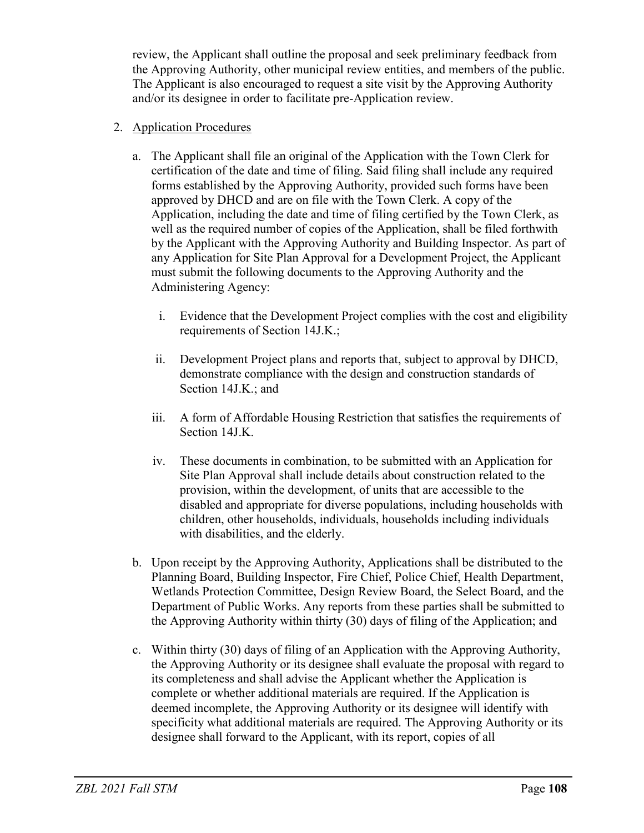review, the Applicant shall outline the proposal and seek preliminary feedback from the Approving Authority, other municipal review entities, and members of the public. The Applicant is also encouraged to request a site visit by the Approving Authority and/or its designee in order to facilitate pre-Application review.

### 2. Application Procedures

- a. The Applicant shall file an original of the Application with the Town Clerk for certification of the date and time of filing. Said filing shall include any required forms established by the Approving Authority, provided such forms have been approved by DHCD and are on file with the Town Clerk. A copy of the Application, including the date and time of filing certified by the Town Clerk, as well as the required number of copies of the Application, shall be filed forthwith by the Applicant with the Approving Authority and Building Inspector. As part of any Application for Site Plan Approval for a Development Project, the Applicant must submit the following documents to the Approving Authority and the Administering Agency:
	- i. Evidence that the Development Project complies with the cost and eligibility requirements of Section 14J.K.;
	- ii. Development Project plans and reports that, subject to approval by DHCD, demonstrate compliance with the design and construction standards of Section 14J.K.; and
	- iii. A form of Affordable Housing Restriction that satisfies the requirements of Section 14J.K.
	- iv. These documents in combination, to be submitted with an Application for Site Plan Approval shall include details about construction related to the provision, within the development, of units that are accessible to the disabled and appropriate for diverse populations, including households with children, other households, individuals, households including individuals with disabilities, and the elderly.
- b. Upon receipt by the Approving Authority, Applications shall be distributed to the Planning Board, Building Inspector, Fire Chief, Police Chief, Health Department, Wetlands Protection Committee, Design Review Board, the Select Board, and the Department of Public Works. Any reports from these parties shall be submitted to the Approving Authority within thirty (30) days of filing of the Application; and
- c. Within thirty (30) days of filing of an Application with the Approving Authority, the Approving Authority or its designee shall evaluate the proposal with regard to its completeness and shall advise the Applicant whether the Application is complete or whether additional materials are required. If the Application is deemed incomplete, the Approving Authority or its designee will identify with specificity what additional materials are required. The Approving Authority or its designee shall forward to the Applicant, with its report, copies of all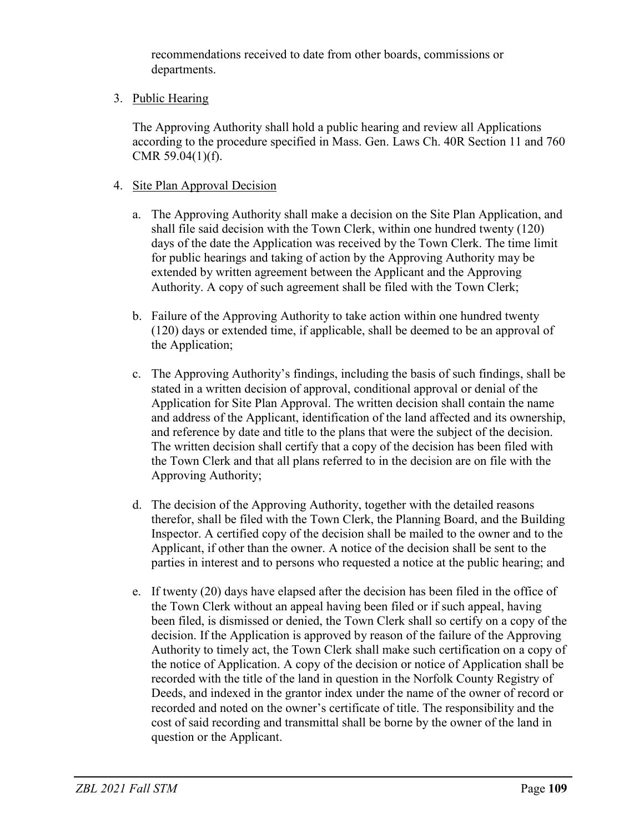recommendations received to date from other boards, commissions or departments.

3. Public Hearing

The Approving Authority shall hold a public hearing and review all Applications according to the procedure specified in Mass. Gen. Laws Ch. 40R Section 11 and 760 CMR 59.04(1)(f).

# 4. Site Plan Approval Decision

- a. The Approving Authority shall make a decision on the Site Plan Application, and shall file said decision with the Town Clerk, within one hundred twenty (120) days of the date the Application was received by the Town Clerk. The time limit for public hearings and taking of action by the Approving Authority may be extended by written agreement between the Applicant and the Approving Authority. A copy of such agreement shall be filed with the Town Clerk;
- b. Failure of the Approving Authority to take action within one hundred twenty (120) days or extended time, if applicable, shall be deemed to be an approval of the Application;
- c. The Approving Authority's findings, including the basis of such findings, shall be stated in a written decision of approval, conditional approval or denial of the Application for Site Plan Approval. The written decision shall contain the name and address of the Applicant, identification of the land affected and its ownership, and reference by date and title to the plans that were the subject of the decision. The written decision shall certify that a copy of the decision has been filed with the Town Clerk and that all plans referred to in the decision are on file with the Approving Authority;
- d. The decision of the Approving Authority, together with the detailed reasons therefor, shall be filed with the Town Clerk, the Planning Board, and the Building Inspector. A certified copy of the decision shall be mailed to the owner and to the Applicant, if other than the owner. A notice of the decision shall be sent to the parties in interest and to persons who requested a notice at the public hearing; and
- e. If twenty (20) days have elapsed after the decision has been filed in the office of the Town Clerk without an appeal having been filed or if such appeal, having been filed, is dismissed or denied, the Town Clerk shall so certify on a copy of the decision. If the Application is approved by reason of the failure of the Approving Authority to timely act, the Town Clerk shall make such certification on a copy of the notice of Application. A copy of the decision or notice of Application shall be recorded with the title of the land in question in the Norfolk County Registry of Deeds, and indexed in the grantor index under the name of the owner of record or recorded and noted on the owner's certificate of title. The responsibility and the cost of said recording and transmittal shall be borne by the owner of the land in question or the Applicant.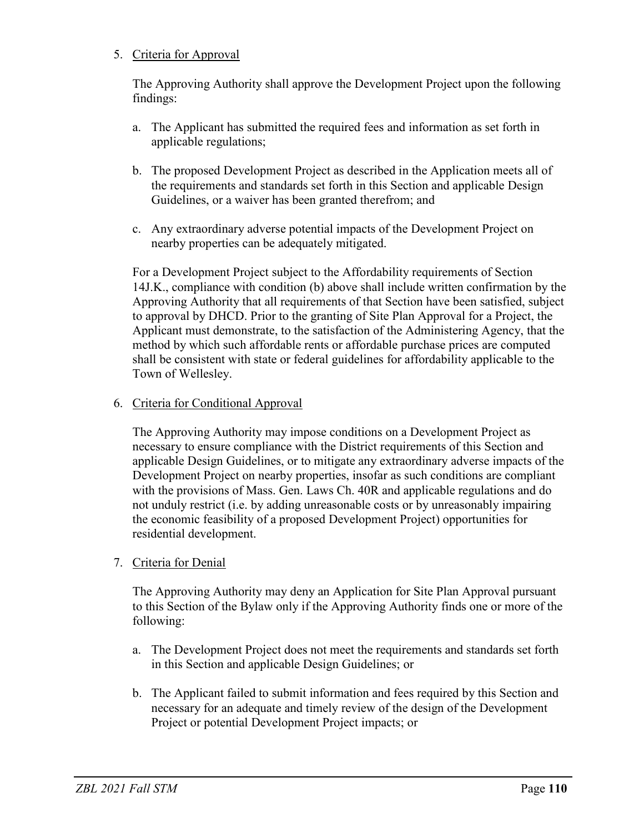# 5. Criteria for Approval

The Approving Authority shall approve the Development Project upon the following findings:

- a. The Applicant has submitted the required fees and information as set forth in applicable regulations;
- b. The proposed Development Project as described in the Application meets all of the requirements and standards set forth in this Section and applicable Design Guidelines, or a waiver has been granted therefrom; and
- c. Any extraordinary adverse potential impacts of the Development Project on nearby properties can be adequately mitigated.

For a Development Project subject to the Affordability requirements of Section 14J.K., compliance with condition (b) above shall include written confirmation by the Approving Authority that all requirements of that Section have been satisfied, subject to approval by DHCD. Prior to the granting of Site Plan Approval for a Project, the Applicant must demonstrate, to the satisfaction of the Administering Agency, that the method by which such affordable rents or affordable purchase prices are computed shall be consistent with state or federal guidelines for affordability applicable to the Town of Wellesley.

# 6. Criteria for Conditional Approval

The Approving Authority may impose conditions on a Development Project as necessary to ensure compliance with the District requirements of this Section and applicable Design Guidelines, or to mitigate any extraordinary adverse impacts of the Development Project on nearby properties, insofar as such conditions are compliant with the provisions of Mass. Gen. Laws Ch. 40R and applicable regulations and do not unduly restrict (i.e. by adding unreasonable costs or by unreasonably impairing the economic feasibility of a proposed Development Project) opportunities for residential development.

7. Criteria for Denial

The Approving Authority may deny an Application for Site Plan Approval pursuant to this Section of the Bylaw only if the Approving Authority finds one or more of the following:

- a. The Development Project does not meet the requirements and standards set forth in this Section and applicable Design Guidelines; or
- b. The Applicant failed to submit information and fees required by this Section and necessary for an adequate and timely review of the design of the Development Project or potential Development Project impacts; or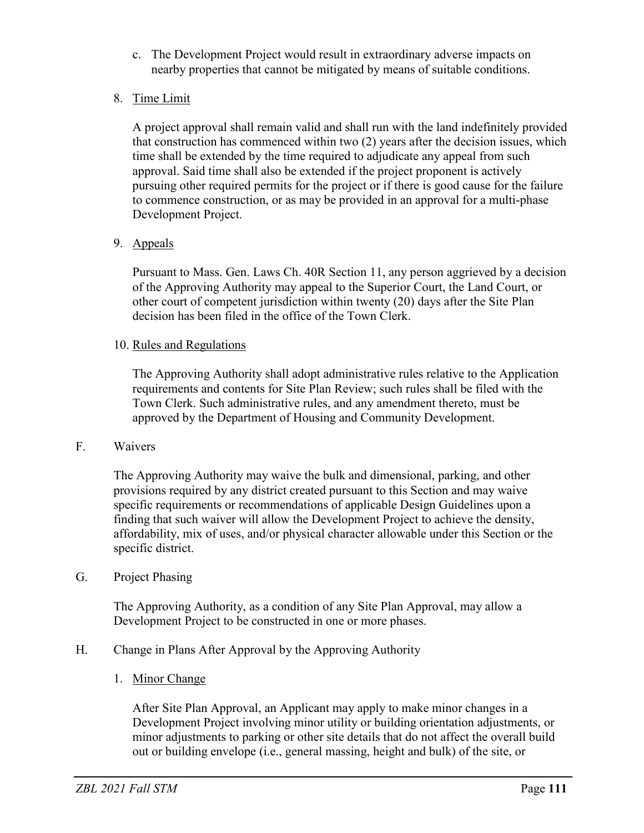- c. The Development Project would result in extraordinary adverse impacts on nearby properties that cannot be mitigated by means of suitable conditions.
- 8. Time Limit

A project approval shall remain valid and shall run with the land indefinitely provided that construction has commenced within two (2) years after the decision issues, which time shall be extended by the time required to adjudicate any appeal from such approval. Said time shall also be extended if the project proponent is actively pursuing other required permits for the project or if there is good cause for the failure to commence construction, or as may be provided in an approval for a multi-phase Development Project.

9. Appeals

Pursuant to Mass. Gen. Laws Ch. 40R Section 11, any person aggrieved by a decision of the Approving Authority may appeal to the Superior Court, the Land Court, or other court of competent jurisdiction within twenty (20) days after the Site Plan decision has been filed in the office of the Town Clerk.

### 10. Rules and Regulations

The Approving Authority shall adopt administrative rules relative to the Application requirements and contents for Site Plan Review; such rules shall be filed with the Town Clerk. Such administrative rules, and any amendment thereto, must be approved by the Department of Housing and Community Development.

### F. Waivers

The Approving Authority may waive the bulk and dimensional, parking, and other provisions required by any district created pursuant to this Section and may waive specific requirements or recommendations of applicable Design Guidelines upon a finding that such waiver will allow the Development Project to achieve the density, affordability, mix of uses, and/or physical character allowable under this Section or the specific district.

### G. Project Phasing

The Approving Authority, as a condition of any Site Plan Approval, may allow a Development Project to be constructed in one or more phases.

- H. Change in Plans After Approval by the Approving Authority
	- 1. Minor Change

After Site Plan Approval, an Applicant may apply to make minor changes in a Development Project involving minor utility or building orientation adjustments, or minor adjustments to parking or other site details that do not affect the overall build out or building envelope (i.e., general massing, height and bulk) of the site, or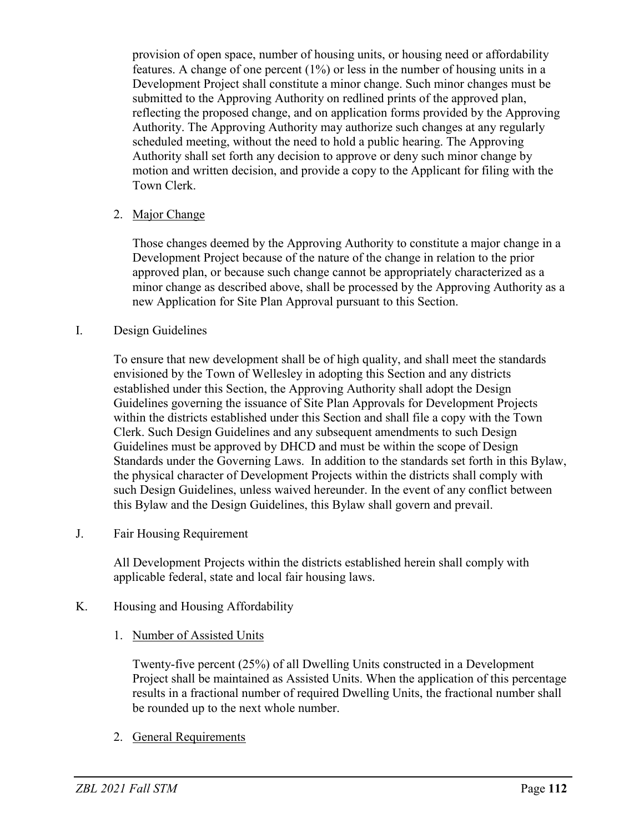provision of open space, number of housing units, or housing need or affordability features. A change of one percent (1%) or less in the number of housing units in a Development Project shall constitute a minor change. Such minor changes must be submitted to the Approving Authority on redlined prints of the approved plan, reflecting the proposed change, and on application forms provided by the Approving Authority. The Approving Authority may authorize such changes at any regularly scheduled meeting, without the need to hold a public hearing. The Approving Authority shall set forth any decision to approve or deny such minor change by motion and written decision, and provide a copy to the Applicant for filing with the Town Clerk.

# 2. Major Change

Those changes deemed by the Approving Authority to constitute a major change in a Development Project because of the nature of the change in relation to the prior approved plan, or because such change cannot be appropriately characterized as a minor change as described above, shall be processed by the Approving Authority as a new Application for Site Plan Approval pursuant to this Section.

#### I. Design Guidelines

To ensure that new development shall be of high quality, and shall meet the standards envisioned by the Town of Wellesley in adopting this Section and any districts established under this Section, the Approving Authority shall adopt the Design Guidelines governing the issuance of Site Plan Approvals for Development Projects within the districts established under this Section and shall file a copy with the Town Clerk. Such Design Guidelines and any subsequent amendments to such Design Guidelines must be approved by DHCD and must be within the scope of Design Standards under the Governing Laws. In addition to the standards set forth in this Bylaw, the physical character of Development Projects within the districts shall comply with such Design Guidelines, unless waived hereunder. In the event of any conflict between this Bylaw and the Design Guidelines, this Bylaw shall govern and prevail.

J. Fair Housing Requirement

All Development Projects within the districts established herein shall comply with applicable federal, state and local fair housing laws.

- K. Housing and Housing Affordability
	- 1. Number of Assisted Units

Twenty-five percent (25%) of all Dwelling Units constructed in a Development Project shall be maintained as Assisted Units. When the application of this percentage results in a fractional number of required Dwelling Units, the fractional number shall be rounded up to the next whole number.

2. General Requirements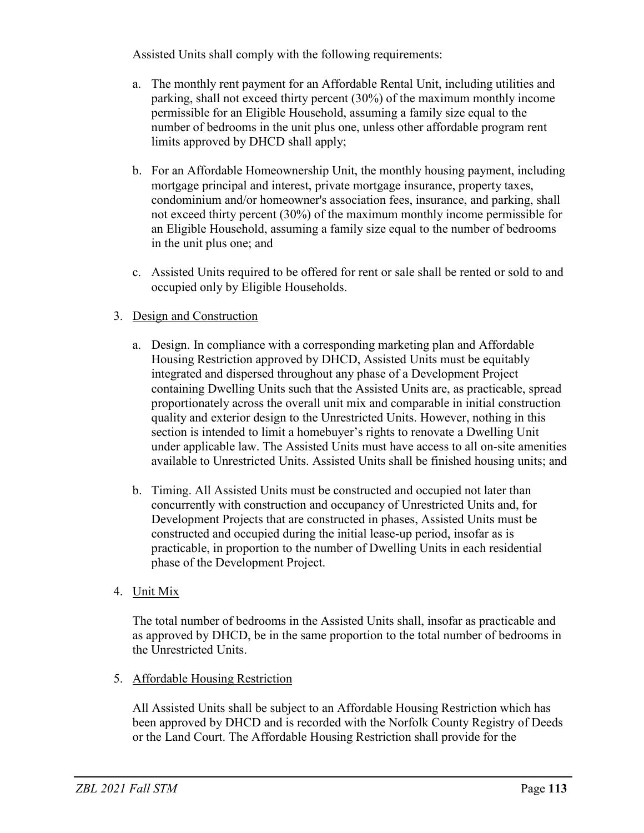Assisted Units shall comply with the following requirements:

- a. The monthly rent payment for an Affordable Rental Unit, including utilities and parking, shall not exceed thirty percent (30%) of the maximum monthly income permissible for an Eligible Household, assuming a family size equal to the number of bedrooms in the unit plus one, unless other affordable program rent limits approved by DHCD shall apply;
- b. For an Affordable Homeownership Unit, the monthly housing payment, including mortgage principal and interest, private mortgage insurance, property taxes, condominium and/or homeowner's association fees, insurance, and parking, shall not exceed thirty percent (30%) of the maximum monthly income permissible for an Eligible Household, assuming a family size equal to the number of bedrooms in the unit plus one; and
- c. Assisted Units required to be offered for rent or sale shall be rented or sold to and occupied only by Eligible Households.

# 3. Design and Construction

- a. Design. In compliance with a corresponding marketing plan and Affordable Housing Restriction approved by DHCD, Assisted Units must be equitably integrated and dispersed throughout any phase of a Development Project containing Dwelling Units such that the Assisted Units are, as practicable, spread proportionately across the overall unit mix and comparable in initial construction quality and exterior design to the Unrestricted Units. However, nothing in this section is intended to limit a homebuyer's rights to renovate a Dwelling Unit under applicable law. The Assisted Units must have access to all on-site amenities available to Unrestricted Units. Assisted Units shall be finished housing units; and
- b. Timing. All Assisted Units must be constructed and occupied not later than concurrently with construction and occupancy of Unrestricted Units and, for Development Projects that are constructed in phases, Assisted Units must be constructed and occupied during the initial lease-up period, insofar as is practicable, in proportion to the number of Dwelling Units in each residential phase of the Development Project.
- 4. Unit Mix

The total number of bedrooms in the Assisted Units shall, insofar as practicable and as approved by DHCD, be in the same proportion to the total number of bedrooms in the Unrestricted Units.

### 5. Affordable Housing Restriction

All Assisted Units shall be subject to an Affordable Housing Restriction which has been approved by DHCD and is recorded with the Norfolk County Registry of Deeds or the Land Court. The Affordable Housing Restriction shall provide for the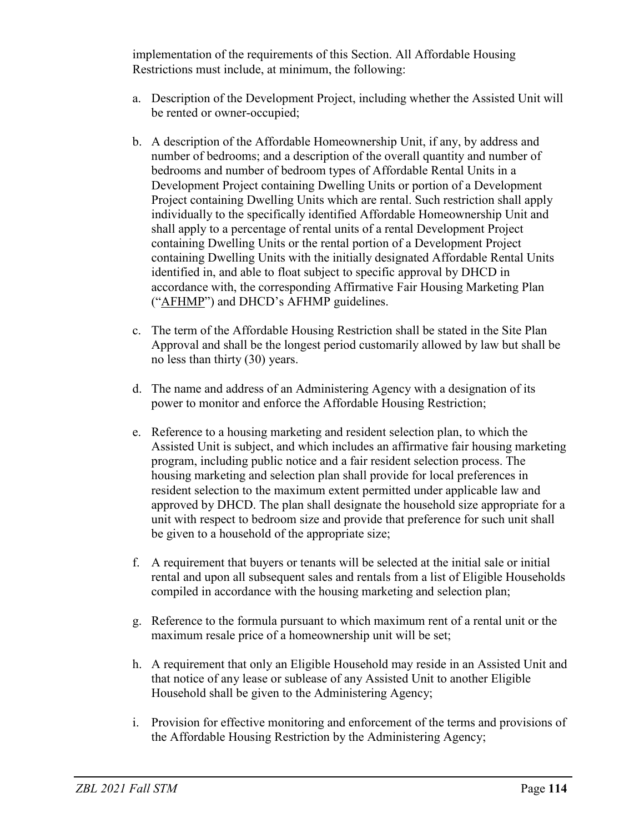implementation of the requirements of this Section. All Affordable Housing Restrictions must include, at minimum, the following:

- a. Description of the Development Project, including whether the Assisted Unit will be rented or owner-occupied;
- b. A description of the Affordable Homeownership Unit, if any, by address and number of bedrooms; and a description of the overall quantity and number of bedrooms and number of bedroom types of Affordable Rental Units in a Development Project containing Dwelling Units or portion of a Development Project containing Dwelling Units which are rental. Such restriction shall apply individually to the specifically identified Affordable Homeownership Unit and shall apply to a percentage of rental units of a rental Development Project containing Dwelling Units or the rental portion of a Development Project containing Dwelling Units with the initially designated Affordable Rental Units identified in, and able to float subject to specific approval by DHCD in accordance with, the corresponding Affirmative Fair Housing Marketing Plan ("AFHMP") and DHCD's AFHMP guidelines.
- c. The term of the Affordable Housing Restriction shall be stated in the Site Plan Approval and shall be the longest period customarily allowed by law but shall be no less than thirty (30) years.
- d. The name and address of an Administering Agency with a designation of its power to monitor and enforce the Affordable Housing Restriction;
- e. Reference to a housing marketing and resident selection plan, to which the Assisted Unit is subject, and which includes an affirmative fair housing marketing program, including public notice and a fair resident selection process. The housing marketing and selection plan shall provide for local preferences in resident selection to the maximum extent permitted under applicable law and approved by DHCD. The plan shall designate the household size appropriate for a unit with respect to bedroom size and provide that preference for such unit shall be given to a household of the appropriate size;
- f. A requirement that buyers or tenants will be selected at the initial sale or initial rental and upon all subsequent sales and rentals from a list of Eligible Households compiled in accordance with the housing marketing and selection plan;
- g. Reference to the formula pursuant to which maximum rent of a rental unit or the maximum resale price of a homeownership unit will be set;
- h. A requirement that only an Eligible Household may reside in an Assisted Unit and that notice of any lease or sublease of any Assisted Unit to another Eligible Household shall be given to the Administering Agency;
- i. Provision for effective monitoring and enforcement of the terms and provisions of the Affordable Housing Restriction by the Administering Agency;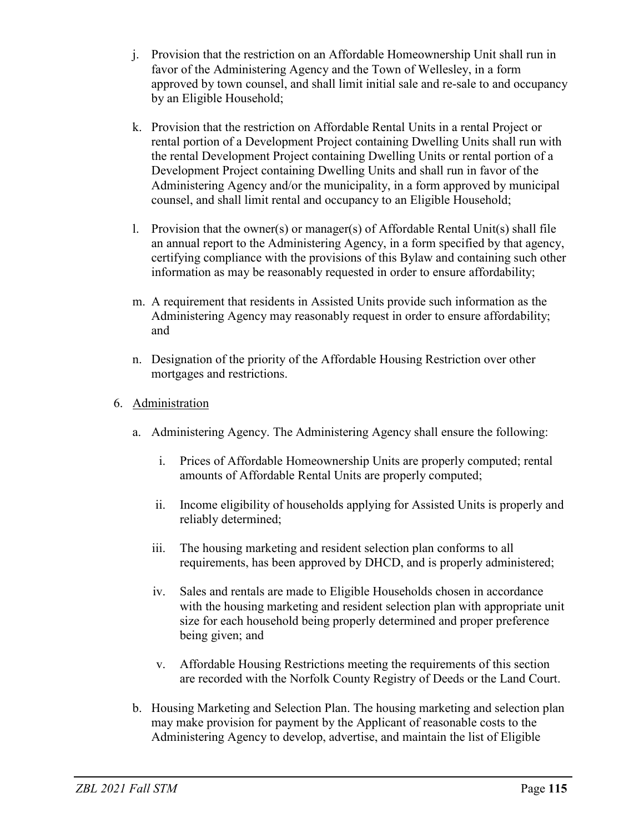- j. Provision that the restriction on an Affordable Homeownership Unit shall run in favor of the Administering Agency and the Town of Wellesley, in a form approved by town counsel, and shall limit initial sale and re-sale to and occupancy by an Eligible Household;
- k. Provision that the restriction on Affordable Rental Units in a rental Project or rental portion of a Development Project containing Dwelling Units shall run with the rental Development Project containing Dwelling Units or rental portion of a Development Project containing Dwelling Units and shall run in favor of the Administering Agency and/or the municipality, in a form approved by municipal counsel, and shall limit rental and occupancy to an Eligible Household;
- 1. Provision that the owner(s) or manager(s) of Affordable Rental Unit(s) shall file an annual report to the Administering Agency, in a form specified by that agency, certifying compliance with the provisions of this Bylaw and containing such other information as may be reasonably requested in order to ensure affordability;
- m. A requirement that residents in Assisted Units provide such information as the Administering Agency may reasonably request in order to ensure affordability; and
- n. Designation of the priority of the Affordable Housing Restriction over other mortgages and restrictions.
- 6. Administration
	- a. Administering Agency. The Administering Agency shall ensure the following:
		- i. Prices of Affordable Homeownership Units are properly computed; rental amounts of Affordable Rental Units are properly computed;
		- ii. Income eligibility of households applying for Assisted Units is properly and reliably determined;
		- iii. The housing marketing and resident selection plan conforms to all requirements, has been approved by DHCD, and is properly administered;
		- iv. Sales and rentals are made to Eligible Households chosen in accordance with the housing marketing and resident selection plan with appropriate unit size for each household being properly determined and proper preference being given; and
		- v. Affordable Housing Restrictions meeting the requirements of this section are recorded with the Norfolk County Registry of Deeds or the Land Court.
	- b. Housing Marketing and Selection Plan. The housing marketing and selection plan may make provision for payment by the Applicant of reasonable costs to the Administering Agency to develop, advertise, and maintain the list of Eligible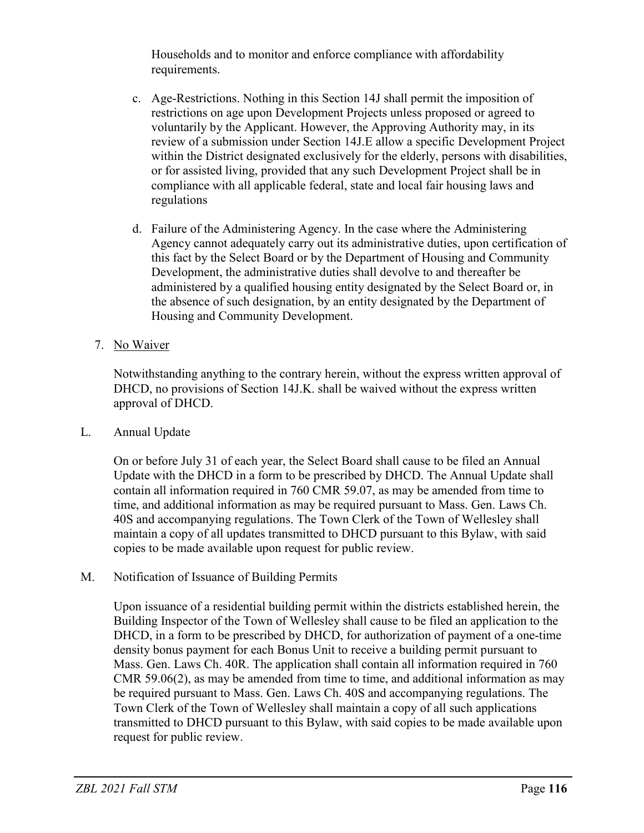Households and to monitor and enforce compliance with affordability requirements.

- c. Age-Restrictions. Nothing in this Section 14J shall permit the imposition of restrictions on age upon Development Projects unless proposed or agreed to voluntarily by the Applicant. However, the Approving Authority may, in its review of a submission under Section 14J.E allow a specific Development Project within the District designated exclusively for the elderly, persons with disabilities, or for assisted living, provided that any such Development Project shall be in compliance with all applicable federal, state and local fair housing laws and regulations
- d. Failure of the Administering Agency. In the case where the Administering Agency cannot adequately carry out its administrative duties, upon certification of this fact by the Select Board or by the Department of Housing and Community Development, the administrative duties shall devolve to and thereafter be administered by a qualified housing entity designated by the Select Board or, in the absence of such designation, by an entity designated by the Department of Housing and Community Development.
- 7. No Waiver

Notwithstanding anything to the contrary herein, without the express written approval of DHCD, no provisions of Section 14J.K. shall be waived without the express written approval of DHCD.

L. Annual Update

On or before July 31 of each year, the Select Board shall cause to be filed an Annual Update with the DHCD in a form to be prescribed by DHCD. The Annual Update shall contain all information required in 760 CMR 59.07, as may be amended from time to time, and additional information as may be required pursuant to Mass. Gen. Laws Ch. 40S and accompanying regulations. The Town Clerk of the Town of Wellesley shall maintain a copy of all updates transmitted to DHCD pursuant to this Bylaw, with said copies to be made available upon request for public review.

M. Notification of Issuance of Building Permits

Upon issuance of a residential building permit within the districts established herein, the Building Inspector of the Town of Wellesley shall cause to be filed an application to the DHCD, in a form to be prescribed by DHCD, for authorization of payment of a one-time density bonus payment for each Bonus Unit to receive a building permit pursuant to Mass. Gen. Laws Ch. 40R. The application shall contain all information required in 760 CMR 59.06(2), as may be amended from time to time, and additional information as may be required pursuant to Mass. Gen. Laws Ch. 40S and accompanying regulations. The Town Clerk of the Town of Wellesley shall maintain a copy of all such applications transmitted to DHCD pursuant to this Bylaw, with said copies to be made available upon request for public review.